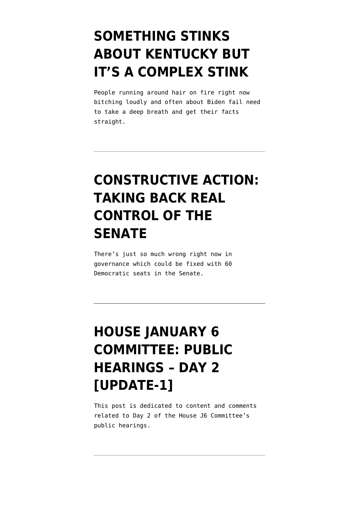## **[SOMETHING STINKS](https://www.emptywheel.net/2022/06/30/something-stinks-about-kentucky-but-its-a-complex-stink/) [ABOUT KENTUCKY BUT](https://www.emptywheel.net/2022/06/30/something-stinks-about-kentucky-but-its-a-complex-stink/) [IT'S A COMPLEX STINK](https://www.emptywheel.net/2022/06/30/something-stinks-about-kentucky-but-its-a-complex-stink/)**

People running around hair on fire right now bitching loudly and often about Biden fail need to take a deep breath and get their facts straight.

## **[CONSTRUCTIVE ACTION:](https://www.emptywheel.net/2022/06/24/constructive-action-taking-back-real-control-of-the-senate/) [TAKING BACK REAL](https://www.emptywheel.net/2022/06/24/constructive-action-taking-back-real-control-of-the-senate/) [CONTROL OF THE](https://www.emptywheel.net/2022/06/24/constructive-action-taking-back-real-control-of-the-senate/) [SENATE](https://www.emptywheel.net/2022/06/24/constructive-action-taking-back-real-control-of-the-senate/)**

There's just so much wrong right now in governance which could be fixed with 60 Democratic seats in the Senate.

## **[HOUSE JANUARY 6](https://www.emptywheel.net/2022/06/13/house-january-6-committee-public-hearings-day-2/) [COMMITTEE: PUBLIC](https://www.emptywheel.net/2022/06/13/house-january-6-committee-public-hearings-day-2/) [HEARINGS – DAY 2](https://www.emptywheel.net/2022/06/13/house-january-6-committee-public-hearings-day-2/) [\[UPDATE-1\]](https://www.emptywheel.net/2022/06/13/house-january-6-committee-public-hearings-day-2/)**

This post is dedicated to content and comments related to Day 2 of the House J6 Committee's public hearings.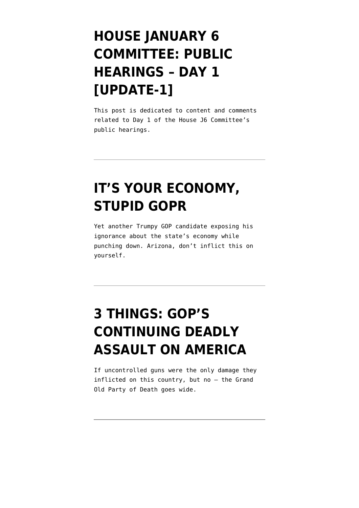## **[HOUSE JANUARY 6](https://www.emptywheel.net/2022/06/09/house-january-6-committee-public-hearings-day-1/) [COMMITTEE: PUBLIC](https://www.emptywheel.net/2022/06/09/house-january-6-committee-public-hearings-day-1/) [HEARINGS – DAY 1](https://www.emptywheel.net/2022/06/09/house-january-6-committee-public-hearings-day-1/) [\[UPDATE-1\]](https://www.emptywheel.net/2022/06/09/house-january-6-committee-public-hearings-day-1/)**

This post is dedicated to content and comments related to Day 1 of the House J6 Committee's public hearings.

#### **[IT'S YOUR ECONOMY,](https://www.emptywheel.net/2022/06/07/its-your-economy-stupid-gopr/) [STUPID GOPR](https://www.emptywheel.net/2022/06/07/its-your-economy-stupid-gopr/)**

Yet another Trumpy GOP candidate exposing his ignorance about the state's economy while punching down. Arizona, don't inflict this on yourself.

# **[3 THINGS: GOP'S](https://www.emptywheel.net/2022/06/06/3-things-gops-continuing-deadly-assault-on-america/) [CONTINUING DEADLY](https://www.emptywheel.net/2022/06/06/3-things-gops-continuing-deadly-assault-on-america/) [ASSAULT ON AMERICA](https://www.emptywheel.net/2022/06/06/3-things-gops-continuing-deadly-assault-on-america/)**

If uncontrolled guns were the only damage they inflicted on this country, but no – the Grand Old Party of Death goes wide.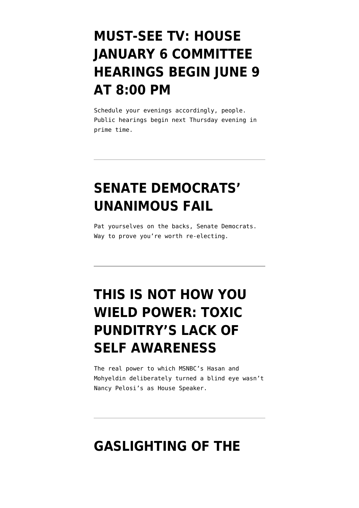### **[MUST-SEE TV: HOUSE](https://www.emptywheel.net/2022/06/02/must-see-tv-house-january-6-committee-hearings-begin-june-9-at-800-pm/) [JANUARY 6 COMMITTEE](https://www.emptywheel.net/2022/06/02/must-see-tv-house-january-6-committee-hearings-begin-june-9-at-800-pm/) [HEARINGS BEGIN JUNE 9](https://www.emptywheel.net/2022/06/02/must-see-tv-house-january-6-committee-hearings-begin-june-9-at-800-pm/) [AT 8:00 PM](https://www.emptywheel.net/2022/06/02/must-see-tv-house-january-6-committee-hearings-begin-june-9-at-800-pm/)**

Schedule your evenings accordingly, people. Public hearings begin next Thursday evening in prime time.

## **[SENATE DEMOCRATS'](https://www.emptywheel.net/2022/05/10/senate-democrats-unanimous-fail/) [UNANIMOUS FAIL](https://www.emptywheel.net/2022/05/10/senate-democrats-unanimous-fail/)**

Pat yourselves on the backs, Senate Democrats. Way to prove you're worth re-electing.

# **[THIS IS NOT HOW YOU](https://www.emptywheel.net/2022/04/04/this-is-not-how-you-wield-power-toxic-punditrys-lack-of-self-awareness/) [WIELD POWER: TOXIC](https://www.emptywheel.net/2022/04/04/this-is-not-how-you-wield-power-toxic-punditrys-lack-of-self-awareness/) [PUNDITRY'S LACK OF](https://www.emptywheel.net/2022/04/04/this-is-not-how-you-wield-power-toxic-punditrys-lack-of-self-awareness/) [SELF AWARENESS](https://www.emptywheel.net/2022/04/04/this-is-not-how-you-wield-power-toxic-punditrys-lack-of-self-awareness/)**

The real power to which MSNBC's Hasan and Mohyeldin deliberately turned a blind eye wasn't Nancy Pelosi's as House Speaker.

#### **[GASLIGHTING OF THE](https://www.emptywheel.net/2022/02/07/gaslighting-of-the-obstructive-kind/)**